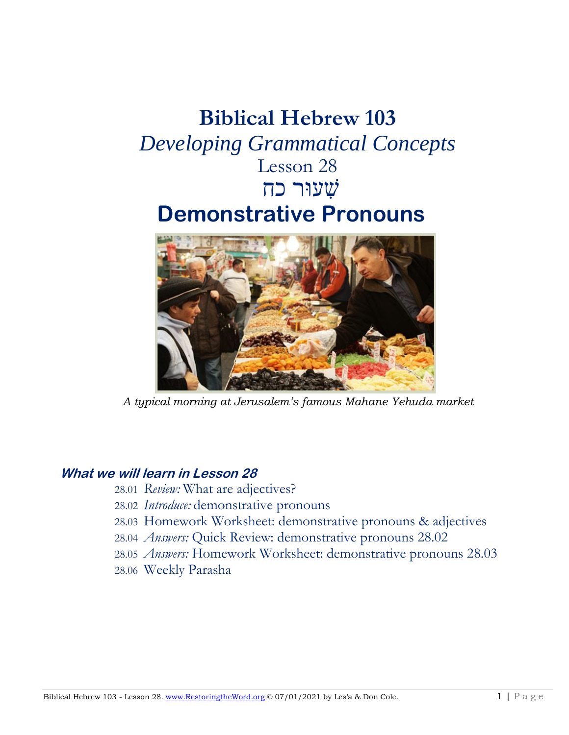# **Biblical Hebrew 103** *Developing Grammatical Concepts* Lesson 28 שׁ ִעוּר כחִ **Demonstrative Pronouns**



*A typical morning at Jerusalem's famous Mahane Yehuda market* 

## **What we will learn in Lesson 28**

- 28.01 *Review:* What are adjectives?
- 28.02 *Introduce:* demonstrative pronouns
- 28.03 Homework Worksheet: demonstrative pronouns & adjectives
- 28.04 *Answers:* Quick Review: demonstrative pronouns 28.02
- 28.05 *Answers:* Homework Worksheet: demonstrative pronouns 28.03
- 28.06 Weekly Parasha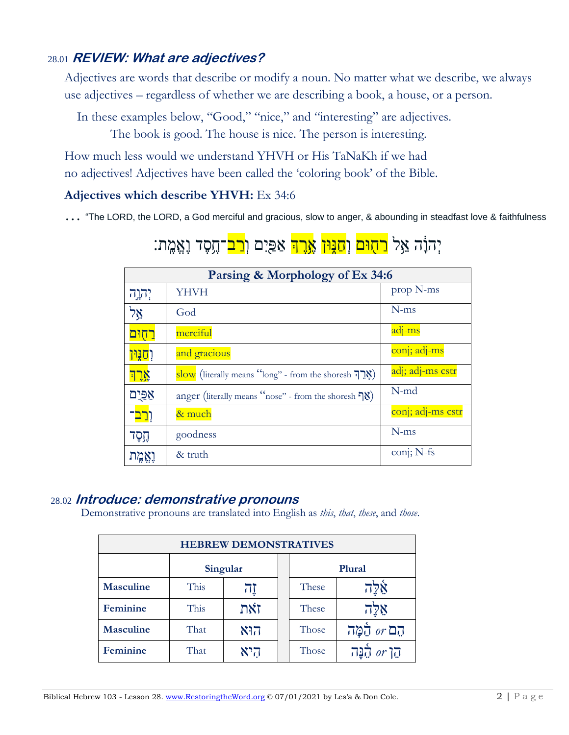## 28.01 **REVIEW: What are adjectives?**

Adjectives are words that describe or modify a noun. No matter what we describe, we always use adjectives – regardless of whether we are describing a book, a house, or a person.

In these examples below, "Good," "nice," and "interesting" are adjectives.

The book is good. The house is nice. The person is interesting.

How much less would we understand YHVH or His TaNaKh if we had no adjectives! Adjectives have been called the 'coloring book' of the Bible.

### **Adjectives which describe YHVH:** Ex 34:6

… "The LORD, the LORD, a God merciful and gracious, slow to anger, & abounding in steadfast love & faithfulness

## יִהוָּ֫ה אֵל <mark>רַחִוּם</mark> וְ<mark>חַנִּוּן אֱרֵֽךְ</mark> אַפַּיִם וְ<mark>רַב</mark>־חֵסֶד וְאֶמֱת:

| Parsing & Morphology of Ex 34:6 |                                                                                                          |                   |
|---------------------------------|----------------------------------------------------------------------------------------------------------|-------------------|
| יהוה?                           | <b>YHVH</b>                                                                                              | prop N-ms         |
| אֵל                             | God                                                                                                      | $N$ -ms           |
| <u>רחִוּם</u>                   | merciful                                                                                                 | adj-ms            |
| <u>ן קנַוּן</u>                 | and gracious                                                                                             | conj; adj-ms      |
| אָרִד                           | $\frac{\text{slow}}{\text{slow}}$ (literally means "long" - from the shoresh $\overline{\mathfrak{p}}$ ) | adj; adj-ms cstr  |
| אַפּיִם                         | anger (literally means "nose" - from the shoresh $\mathcal{S}$ )                                         | $N$ -md           |
| <u>וְרַב</u> ־                  | & much                                                                                                   | conj; adj-ms cstr |
| הֶסֶד                           | goodness                                                                                                 | $N$ -ms           |
|                                 | & truth                                                                                                  | conj; N-fs        |

## 28.02 **Introduce: demonstrative pronouns**

Demonstrative pronouns are translated into English as *this*, *that*, *these*, and *those*.

| <b>HEBREW DEMONSTRATIVES</b> |          |     |  |        |                             |
|------------------------------|----------|-----|--|--------|-----------------------------|
|                              | Singular |     |  | Plural |                             |
| <b>Masculine</b>             | This     | ΠI  |  | These  | אֵלֶה                       |
| Feminine                     | This     | זאת |  | These  | $7\overline{2}8$            |
| <b>Masculine</b>             | That     | הוא |  | Those  | הם or הַמֲה                 |
| Feminine                     | That     | היא |  | Those  | $or \overline{G}$<br>מַנָּה |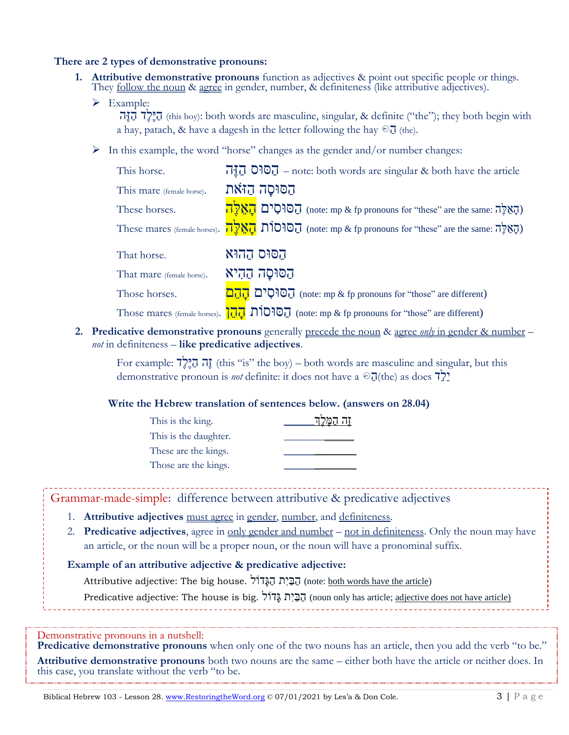#### **There are 2 types of demonstrative pronouns:**

- **1. Attributive demonstrative pronouns** function as adjectives & point out specific people or things. They <u>follow the noun</u> & agree in gender, number, & definiteness (like attributive adjectives).
	- ➢ Example:

הָיָהָה (this boy): both words are masculine, singular, & definite ("the"); they both begin with a hay, patach, & have a dagesh in the letter following the hay  $\odot$   $\overline{J}$  (the).

 $\triangleright$  In this example, the word "horse" changes as the gender and/or number changes:

| This horse.               | $\vec{u}$ , $\vec{v}$ $\vec{v}$ $\vec{v}$ = note: both words are singular & both have the article |
|---------------------------|---------------------------------------------------------------------------------------------------|
| This mare (female horse). | הַסּוּסַה הַזֹּאת                                                                                 |
| These horses.             | הַסוּסִים הַאֲלֶה (pronouns for "these" are the same: הָאֲלֶה)                                    |
|                           | These mares (female horses). הַאֲלֶה (note: mp & fp pronouns for "these" are the same: הָאֵלֶה)   |
| That horse.               | הסוּס הַהוּא                                                                                      |
| That mare (female horse). | הסוסה ההיא                                                                                        |
| Those horses.             | הסוּסִים (note: mp & fp pronouns for "those" are different)                                       |

Those mares (female horses).  $\overline{177}$   $\overline{1010}$   $\overline{1010}$  (note: mp & fp pronouns for "those" are different)

**2. Predicative demonstrative pronouns** generally precede the noun & agree *only* in gender & number – *not* in definiteness – **like predicative adjectives**.

For example:  $\vec{r}$ יָה  $\vec{r}$ ) this "is" the boy) – both words are masculine and singular, but this demonstrative pronoun is *not* definite: it does not have a  $\Theta_{\overline{d}}$ (the) as does  $\overline{7}$ 

#### **Write the Hebrew translation of sentences below. (answers on 28.04)**

| This is the king.     | תה המֵּקֵה |
|-----------------------|------------|
| This is the daughter. |            |
| These are the kings.  |            |
| Those are the kings.  |            |

Grammar-made-simple: difference between attributive & predicative adjectives

- 1. **Attributive adjectives** must agree in gender, number, and definiteness.
- 2. **Predicative adjectives**, agree in only gender and number not in definiteness. Only the noun may have an article, or the noun will be a proper noun, or the noun will have a pronominal suffix.

#### **Example of an attributive adjective & predicative adjective:**

Attributive adjective: The big house. הַבְּיָת הַגֲּדוֹל (note: both words have the article)

Predicative adjective: The house is big. הַבְּיָת גֲדוֹל (noun only has article; adjective does not have article)

Demonstrative pronouns in a nutshell:

**Predicative demonstrative pronouns** when only one of the two nouns has an article, then you add the verb "to be." **Attributive demonstrative pronouns** both two nouns are the same – either both have the article or neither does. In this case, you translate without the verb "to be.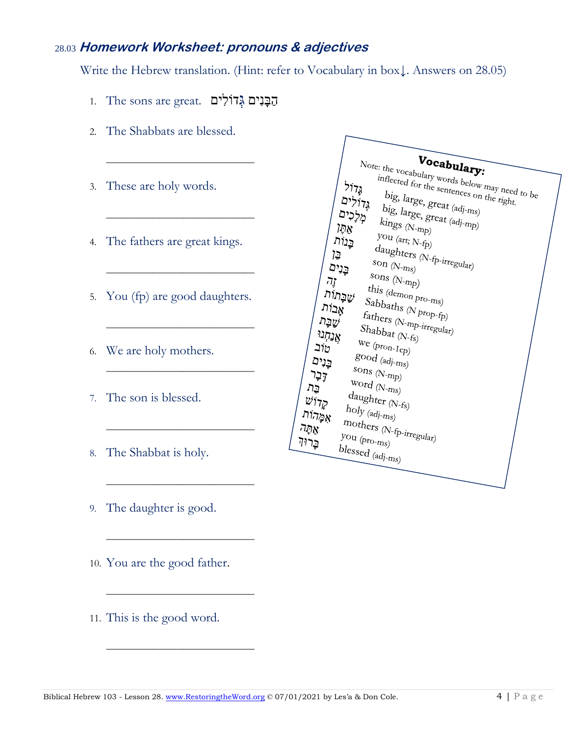## 28.03 **Homework Worksheet: pronouns & adjectives**

Write the Hebrew translation. (Hint: refer to Vocabulary in box↓. Answers on 28.05)

הַבְּנִים גְּדוֹלִים . The sons are great.  $\overline{B}$ 

\_\_\_\_\_\_\_\_\_\_\_\_\_\_\_\_\_\_\_\_\_\_\_\_\_\_\_\_\_

\_\_\_\_\_\_\_\_\_\_\_\_\_\_\_\_\_\_\_\_\_\_\_\_\_\_\_\_\_

\_\_\_\_\_\_\_\_\_\_\_\_\_\_\_\_\_\_\_\_\_\_\_\_\_\_\_\_\_

\_\_\_\_\_\_\_\_\_\_\_\_\_\_\_\_\_\_\_\_\_\_\_\_\_\_\_\_\_

\_\_\_\_\_\_\_\_\_\_\_\_\_\_\_\_\_\_\_\_\_\_\_\_\_\_\_\_\_

\_\_\_\_\_\_\_\_\_\_\_\_\_\_\_\_\_\_\_\_\_\_\_\_\_\_\_\_\_

\_\_\_\_\_\_\_\_\_\_\_\_\_\_\_\_\_\_\_\_\_\_\_\_\_\_\_\_\_

\_\_\_\_\_\_\_\_\_\_\_\_\_\_\_\_\_\_\_\_\_\_\_\_\_\_\_\_\_

\_\_\_\_\_\_\_\_\_\_\_\_\_\_\_\_\_\_\_\_\_\_\_\_\_\_\_\_\_

\_\_\_\_\_\_\_\_\_\_\_\_\_\_\_\_\_\_\_\_\_\_\_\_\_\_\_\_\_

- 2. The Shabbats are blessed.
- 3. These are holy words.
- 4. The fathers are great kings.
- 5. You (fp) are good daughters.
- 6. We are holy mothers.
- 7. The son is blessed.
- 8. The Shabbat is holy.
- 9. The daughter is good.
- 10. You are the good father.
- 11. This is the good word.

| Vocabulary:                                              |
|----------------------------------------------------------|
| Note: the vocabulary words below may need to be          |
| inflected for the sentences on the right.<br><b>יבלק</b> |
| big, large, great (adj-ms)<br>גְּדוֹלִים                 |
| מְלָכִים                                                 |
| big, large, great (adj-mp)<br>$kings_{(N-nnp)}$<br>אַחַ  |
| $you (art; N-fp)$<br>בְנוֹת                              |
| בֶּז                                                     |
| daughters (N-fp-irregular)<br>son $(N-ms)$<br>בֶּנִים    |
| sons $(N$ -mp)<br><i>וֶרו</i>                            |
| this (demon pro- $m_S$ )                                 |
| שַׁבְָּתוֹת<br>Sabbaths (N prop- $f_p$ )<br>אָבוֹת       |
| $\mathit{faths}_{rs}$ (N-mp-irregular)                   |
| שַׁבָּת<br>$Shabbat_{(N\text{-}f_8)}$                    |
| אֲנַחְנוּ<br>$we$ (pron-1cp)                             |
| טוב                                                      |
| $g$ ood $_{(adj\text{-}nns)}$<br>בֶּנִים                 |
| sons $(N$ -mp)<br>קָבֶר                                  |
| $Word$ (N- $nns$ )<br>בֵּת                               |
| $d$ aughter (N-fs)<br>$\psi$ וֹ                          |
| $holy_{\langle adj\text{-}m_S\rangle}$<br>אַמֶּהוֹת      |
| mothers (N-fp-irregular)<br>אַחֲה                        |
| you $\left(p_{ro\text{-}m s}\right)$<br>בָרוּק           |
| $blessed$ (adj- $m_s$ )                                  |
|                                                          |